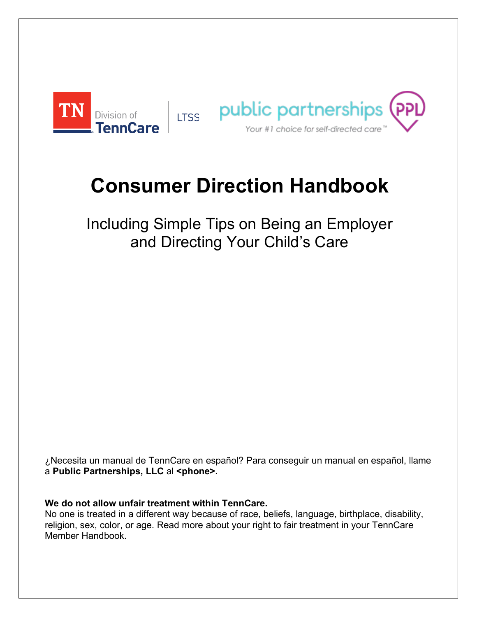

# **Consumer Direction Handbook**

Including Simple Tips on Being an Employer and Directing Your Child's Care

¿Necesita un manual de TennCare en español? Para conseguir un manual en español, llame a **Public Partnerships, LLC** al **<phone>.**

**We do not allow unfair treatment within TennCare.**

No one is treated in a different way because of race, beliefs, language, birthplace, disability, religion, sex, color, or age. Read more about your right to fair treatment in your TennCare Member Handbook.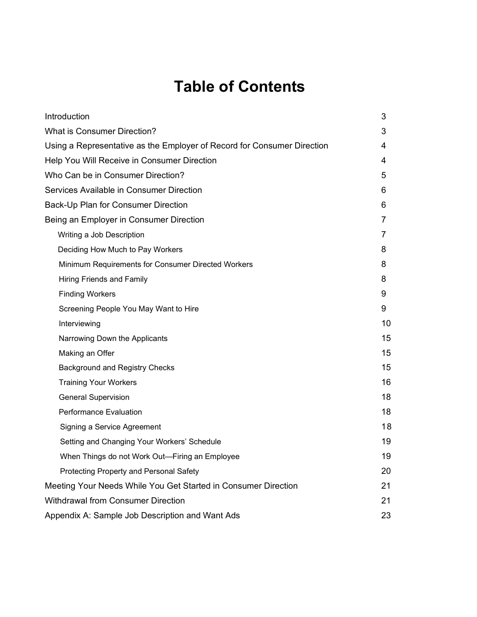# **Table of Contents**

| Introduction                                                            | 3  |
|-------------------------------------------------------------------------|----|
| <b>What is Consumer Direction?</b>                                      | 3  |
| Using a Representative as the Employer of Record for Consumer Direction | 4  |
| Help You Will Receive in Consumer Direction                             | 4  |
| Who Can be in Consumer Direction?                                       | 5  |
| Services Available in Consumer Direction                                | 6  |
| Back-Up Plan for Consumer Direction                                     | 6  |
| Being an Employer in Consumer Direction                                 | 7  |
| Writing a Job Description                                               | 7  |
| Deciding How Much to Pay Workers                                        | 8  |
| Minimum Requirements for Consumer Directed Workers                      | 8  |
| <b>Hiring Friends and Family</b>                                        | 8  |
| <b>Finding Workers</b>                                                  | 9  |
| Screening People You May Want to Hire                                   | 9  |
| Interviewing                                                            | 10 |
| Narrowing Down the Applicants                                           | 15 |
| Making an Offer                                                         | 15 |
| Background and Registry Checks                                          | 15 |
| <b>Training Your Workers</b>                                            | 16 |
| <b>General Supervision</b>                                              | 18 |
| <b>Performance Evaluation</b>                                           | 18 |
| Signing a Service Agreement                                             | 18 |
| Setting and Changing Your Workers' Schedule                             | 19 |
| When Things do not Work Out-Firing an Employee                          | 19 |
| Protecting Property and Personal Safety                                 | 20 |
| Meeting Your Needs While You Get Started in Consumer Direction          | 21 |
| <b>Withdrawal from Consumer Direction</b>                               | 21 |
| Appendix A: Sample Job Description and Want Ads                         | 23 |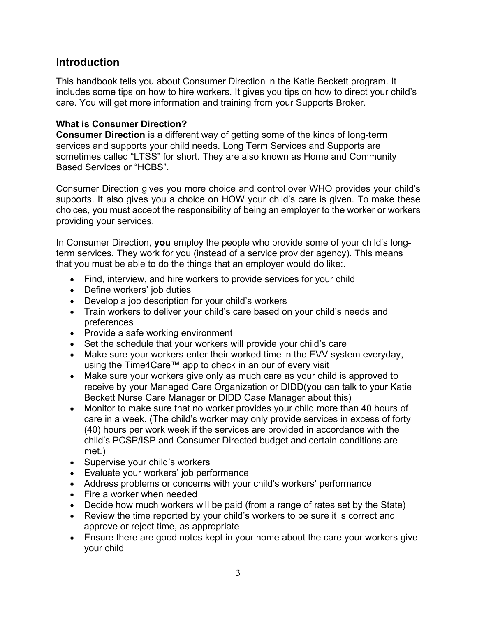# **Introduction**

This handbook tells you about Consumer Direction in the Katie Beckett program. It includes some tips on how to hire workers. It gives you tips on how to direct your child's care. You will get more information and training from your Supports Broker.

# **What is Consumer Direction?**

**Consumer Direction** is a different way of getting some of the kinds of long-term services and supports your child needs. Long Term Services and Supports are sometimes called "LTSS" for short. They are also known as Home and Community Based Services or "HCBS".

Consumer Direction gives you more choice and control over WHO provides your child's supports. It also gives you a choice on HOW your child's care is given. To make these choices, you must accept the responsibility of being an employer to the worker or workers providing your services.

In Consumer Direction, **you** employ the people who provide some of your child's longterm services. They work for you (instead of a service provider agency). This means that you must be able to do the things that an employer would do like:.

- Find, interview, and hire workers to provide services for your child
- Define workers' job duties
- Develop a job description for your child's workers
- Train workers to deliver your child's care based on your child's needs and preferences
- Provide a safe working environment
- Set the schedule that your workers will provide your child's care
- Make sure your workers enter their worked time in the EVV system everyday, using the Time4Care™ app to check in an our of every visit
- Make sure your workers give only as much care as your child is approved to receive by your Managed Care Organization or DIDD(you can talk to your Katie Beckett Nurse Care Manager or DIDD Case Manager about this)
- Monitor to make sure that no worker provides your child more than 40 hours of care in a week. (The child's worker may only provide services in excess of forty (40) hours per work week if the services are provided in accordance with the child's PCSP/ISP and Consumer Directed budget and certain conditions are met.)
- Supervise your child's workers
- Evaluate your workers' job performance
- Address problems or concerns with your child's workers' performance
- Fire a worker when needed
- Decide how much workers will be paid (from a range of rates set by the State)
- Review the time reported by your child's workers to be sure it is correct and approve or reject time, as appropriate
- Ensure there are good notes kept in your home about the care your workers give your child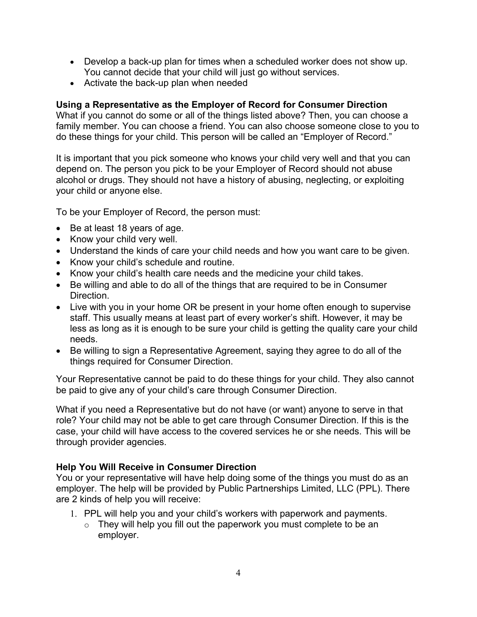- Develop a back-up plan for times when a scheduled worker does not show up. You cannot decide that your child will just go without services.
- Activate the back-up plan when needed

# **Using a Representative as the Employer of Record for Consumer Direction**

What if you cannot do some or all of the things listed above? Then, you can choose a family member. You can choose a friend. You can also choose someone close to you to do these things for your child. This person will be called an "Employer of Record."

It is important that you pick someone who knows your child very well and that you can depend on. The person you pick to be your Employer of Record should not abuse alcohol or drugs. They should not have a history of abusing, neglecting, or exploiting your child or anyone else.

To be your Employer of Record, the person must:

- Be at least 18 years of age.
- Know your child very well.
- Understand the kinds of care your child needs and how you want care to be given.
- Know your child's schedule and routine.
- Know your child's health care needs and the medicine your child takes.
- Be willing and able to do all of the things that are required to be in Consumer **Direction**
- Live with you in your home OR be present in your home often enough to supervise staff. This usually means at least part of every worker's shift. However, it may be less as long as it is enough to be sure your child is getting the quality care your child needs.
- Be willing to sign a Representative Agreement, saying they agree to do all of the things required for Consumer Direction.

Your Representative cannot be paid to do these things for your child. They also cannot be paid to give any of your child's care through Consumer Direction.

What if you need a Representative but do not have (or want) anyone to serve in that role? Your child may not be able to get care through Consumer Direction. If this is the case, your child will have access to the covered services he or she needs. This will be through provider agencies.

# **Help You Will Receive in Consumer Direction**

You or your representative will have help doing some of the things you must do as an employer. The help will be provided by Public Partnerships Limited, LLC (PPL). There are 2 kinds of help you will receive:

- 1. PPL will help you and your child's workers with paperwork and payments.
	- $\circ$  They will help you fill out the paperwork you must complete to be an employer.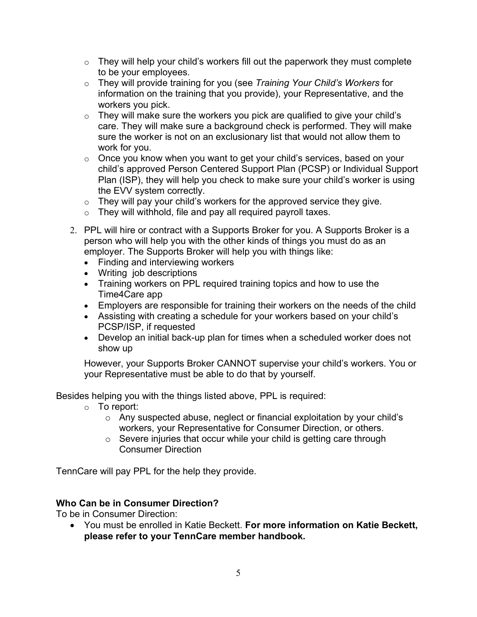- $\circ$  They will help your child's workers fill out the paperwork they must complete to be your employees.
- o They will provide training for you (see *Training Your Child's Workers* for information on the training that you provide), your Representative, and the workers you pick.
- $\circ$  They will make sure the workers you pick are qualified to give your child's care. They will make sure a background check is performed. They will make sure the worker is not on an exclusionary list that would not allow them to work for you.
- o Once you know when you want to get your child's services, based on your child's approved Person Centered Support Plan (PCSP) or Individual Support Plan (ISP), they will help you check to make sure your child's worker is using the EVV system correctly.
- $\circ$  They will pay your child's workers for the approved service they give.
- $\circ$  They will withhold, file and pay all required payroll taxes.
- 2. PPL will hire or contract with a Supports Broker for you. A Supports Broker is a person who will help you with the other kinds of things you must do as an employer. The Supports Broker will help you with things like:
	- Finding and interviewing workers
	- Writing job descriptions
	- Training workers on PPL required training topics and how to use the Time4Care app
	- Employers are responsible for training their workers on the needs of the child
	- Assisting with creating a schedule for your workers based on your child's PCSP/ISP, if requested
	- Develop an initial back-up plan for times when a scheduled worker does not show up

However, your Supports Broker CANNOT supervise your child's workers. You or your Representative must be able to do that by yourself.

Besides helping you with the things listed above, PPL is required:

- $\circ$  To report:
	- o Any suspected abuse, neglect or financial exploitation by your child's workers, your Representative for Consumer Direction, or others.
	- o Severe injuries that occur while your child is getting care through Consumer Direction

TennCare will pay PPL for the help they provide.

# **Who Can be in Consumer Direction?**

To be in Consumer Direction:

• You must be enrolled in Katie Beckett. **For more information on Katie Beckett, please refer to your TennCare member handbook.**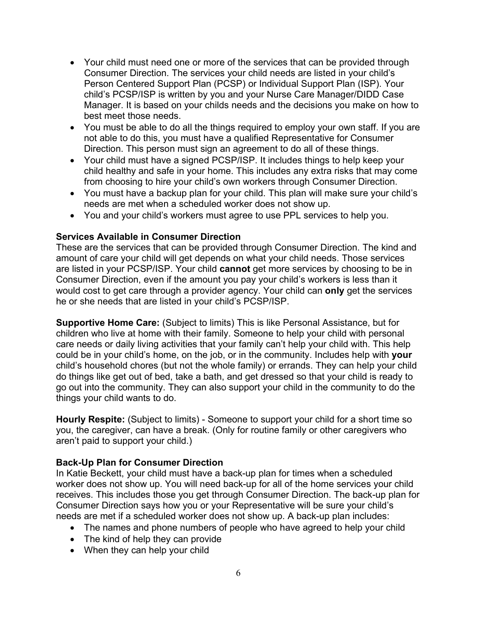- Your child must need one or more of the services that can be provided through Consumer Direction. The services your child needs are listed in your child's Person Centered Support Plan (PCSP) or Individual Support Plan (ISP). Your child's PCSP/ISP is written by you and your Nurse Care Manager/DIDD Case Manager. It is based on your childs needs and the decisions you make on how to best meet those needs.
- You must be able to do all the things required to employ your own staff. If you are not able to do this, you must have a qualified Representative for Consumer Direction. This person must sign an agreement to do all of these things.
- Your child must have a signed PCSP/ISP. It includes things to help keep your child healthy and safe in your home. This includes any extra risks that may come from choosing to hire your child's own workers through Consumer Direction.
- You must have a backup plan for your child. This plan will make sure your child's needs are met when a scheduled worker does not show up.
- You and your child's workers must agree to use PPL services to help you.

# **Services Available in Consumer Direction**

These are the services that can be provided through Consumer Direction. The kind and amount of care your child will get depends on what your child needs. Those services are listed in your PCSP/ISP. Your child **cannot** get more services by choosing to be in Consumer Direction, even if the amount you pay your child's workers is less than it would cost to get care through a provider agency. Your child can **only** get the services he or she needs that are listed in your child's PCSP/ISP.

**Supportive Home Care:** (Subject to limits) This is like Personal Assistance, but for children who live at home with their family. Someone to help your child with personal care needs or daily living activities that your family can't help your child with. This help could be in your child's home, on the job, or in the community. Includes help with **your** child's household chores (but not the whole family) or errands. They can help your child do things like get out of bed, take a bath, and get dressed so that your child is ready to go out into the community. They can also support your child in the community to do the things your child wants to do.

**Hourly Respite:** (Subject to limits) - Someone to support your child for a short time so you, the caregiver, can have a break. (Only for routine family or other caregivers who aren't paid to support your child.)

#### **Back-Up Plan for Consumer Direction**

In Katie Beckett, your child must have a back-up plan for times when a scheduled worker does not show up. You will need back-up for all of the home services your child receives. This includes those you get through Consumer Direction. The back-up plan for Consumer Direction says how you or your Representative will be sure your child's needs are met if a scheduled worker does not show up. A back-up plan includes:

- The names and phone numbers of people who have agreed to help your child
- The kind of help they can provide
- When they can help your child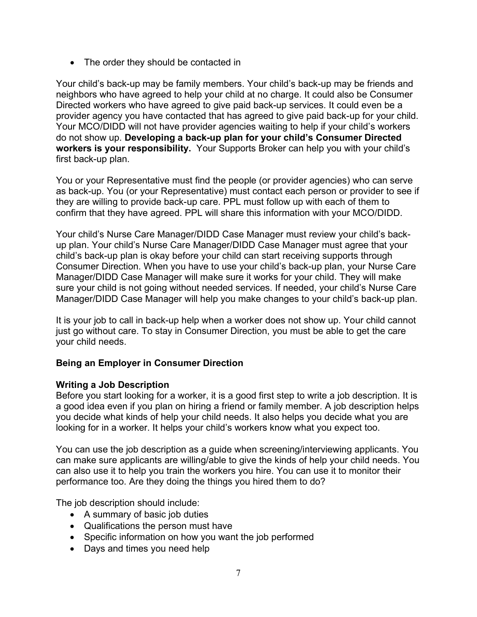• The order they should be contacted in

Your child's back-up may be family members. Your child's back-up may be friends and neighbors who have agreed to help your child at no charge. It could also be Consumer Directed workers who have agreed to give paid back-up services. It could even be a provider agency you have contacted that has agreed to give paid back-up for your child. Your MCO/DIDD will not have provider agencies waiting to help if your child's workers do not show up. **Developing a back-up plan for your child's Consumer Directed workers is your responsibility.** Your Supports Broker can help you with your child's first back-up plan.

You or your Representative must find the people (or provider agencies) who can serve as back-up. You (or your Representative) must contact each person or provider to see if they are willing to provide back-up care. PPL must follow up with each of them to confirm that they have agreed. PPL will share this information with your MCO/DIDD.

Your child's Nurse Care Manager/DIDD Case Manager must review your child's backup plan. Your child's Nurse Care Manager/DIDD Case Manager must agree that your child's back-up plan is okay before your child can start receiving supports through Consumer Direction. When you have to use your child's back-up plan, your Nurse Care Manager/DIDD Case Manager will make sure it works for your child. They will make sure your child is not going without needed services. If needed, your child's Nurse Care Manager/DIDD Case Manager will help you make changes to your child's back-up plan.

It is your job to call in back-up help when a worker does not show up. Your child cannot just go without care. To stay in Consumer Direction, you must be able to get the care your child needs.

# **Being an Employer in Consumer Direction**

#### **Writing a Job Description**

Before you start looking for a worker, it is a good first step to write a job description. It is a good idea even if you plan on hiring a friend or family member. A job description helps you decide what kinds of help your child needs. It also helps you decide what you are looking for in a worker. It helps your child's workers know what you expect too.

You can use the job description as a guide when screening/interviewing applicants. You can make sure applicants are willing/able to give the kinds of help your child needs. You can also use it to help you train the workers you hire. You can use it to monitor their performance too. Are they doing the things you hired them to do?

The job description should include:

- A summary of basic job duties
- Qualifications the person must have
- Specific information on how you want the job performed
- Days and times you need help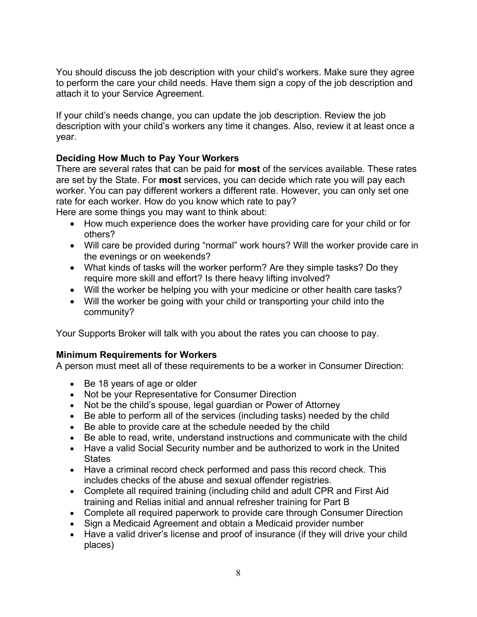You should discuss the job description with your child's workers. Make sure they agree to perform the care your child needs. Have them sign a copy of the job description and attach it to your Service Agreement.

If your child's needs change, you can update the job description. Review the job description with your child's workers any time it changes. Also, review it at least once a year.

# **Deciding How Much to Pay Your Workers**

There are several rates that can be paid for **most** of the services available. These rates are set by the State. For **most** services, you can decide which rate you will pay each worker. You can pay different workers a different rate. However, you can only set one rate for each worker. How do you know which rate to pay?

Here are some things you may want to think about:

- How much experience does the worker have providing care for your child or for others?
- Will care be provided during "normal" work hours? Will the worker provide care in the evenings or on weekends?
- What kinds of tasks will the worker perform? Are they simple tasks? Do they require more skill and effort? Is there heavy lifting involved?
- Will the worker be helping you with your medicine or other health care tasks?
- Will the worker be going with your child or transporting your child into the community?

Your Supports Broker will talk with you about the rates you can choose to pay.

# **Minimum Requirements for Workers**

A person must meet all of these requirements to be a worker in Consumer Direction:

- Be 18 years of age or older
- Not be your Representative for Consumer Direction
- Not be the child's spouse, legal guardian or Power of Attorney
- Be able to perform all of the services (including tasks) needed by the child
- Be able to provide care at the schedule needed by the child
- Be able to read, write, understand instructions and communicate with the child
- Have a valid Social Security number and be authorized to work in the United **States**
- Have a criminal record check performed and pass this record check. This includes checks of the abuse and sexual offender registries.
- Complete all required training (including child and adult CPR and First Aid training and Relias initial and annual refresher training for Part B
- Complete all required paperwork to provide care through Consumer Direction
- Sign a Medicaid Agreement and obtain a Medicaid provider number
- Have a valid driver's license and proof of insurance (if they will drive your child places)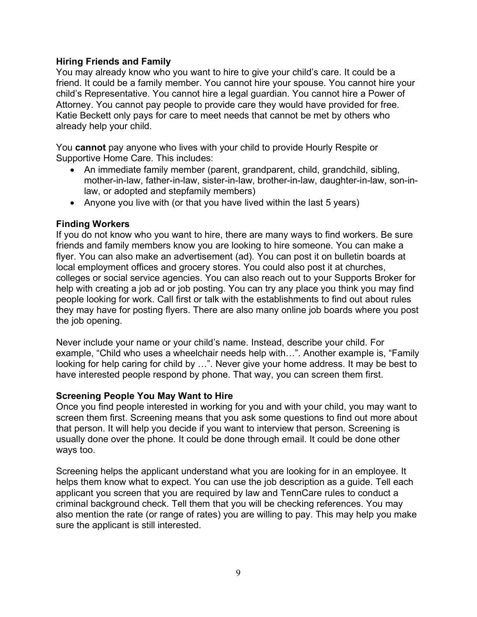#### **Hiring Friends and Family**

You may already know who you want to hire to give your child's care. It could be a friend. It could be a family member. You cannot hire your spouse. You cannot hire your child's Representative. You cannot hire a legal guardian. You cannot hire a Power of Attorney. You cannot pay people to provide care they would have provided for free. Katie Beckett only pays for care to meet needs that cannot be met by others who already help your child.

You **cannot** pay anyone who lives with your child to provide Hourly Respite or Supportive Home Care. This includes:

- An immediate family member (parent, grandparent, child, grandchild, sibling, mother-in-law, father-in-law, sister-in-law, brother-in-law, daughter-in-law, son-inlaw, or adopted and stepfamily members)
- Anyone you live with (or that you have lived within the last 5 years)

#### **Finding Workers**

If you do not know who you want to hire, there are many ways to find workers. Be sure friends and family members know you are looking to hire someone. You can make a flyer. You can also make an advertisement (ad). You can post it on bulletin boards at local employment offices and grocery stores. You could also post it at churches, colleges or social service agencies. You can also reach out to your Supports Broker for help with creating a job ad or job posting. You can try any place you think you may find people looking for work. Call first or talk with the establishments to find out about rules they may have for posting flyers. There are also many online job boards where you post the job opening.

Never include your name or your child's name. Instead, describe your child. For example, "Child who uses a wheelchair needs help with…". Another example is, "Family looking for help caring for child by …". Never give your home address. It may be best to have interested people respond by phone. That way, you can screen them first.

#### **Screening People You May Want to Hire**

Once you find people interested in working for you and with your child, you may want to screen them first. Screening means that you ask some questions to find out more about that person. It will help you decide if you want to interview that person. Screening is usually done over the phone. It could be done through email. It could be done other ways too.

Screening helps the applicant understand what you are looking for in an employee. It helps them know what to expect. You can use the job description as a guide. Tell each applicant you screen that you are required by law and TennCare rules to conduct a criminal background check. Tell them that you will be checking references. You may also mention the rate (or range of rates) you are willing to pay. This may help you make sure the applicant is still interested.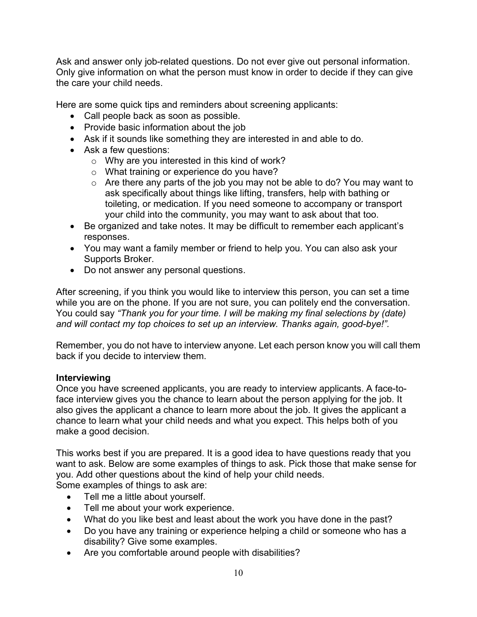Ask and answer only job-related questions. Do not ever give out personal information. Only give information on what the person must know in order to decide if they can give the care your child needs.

Here are some quick tips and reminders about screening applicants:

- Call people back as soon as possible.
- Provide basic information about the job
- Ask if it sounds like something they are interested in and able to do.
- Ask a few questions:
	- o Why are you interested in this kind of work?
	- o What training or experience do you have?
	- $\circ$  Are there any parts of the job you may not be able to do? You may want to ask specifically about things like lifting, transfers, help with bathing or toileting, or medication. If you need someone to accompany or transport your child into the community, you may want to ask about that too.
- Be organized and take notes. It may be difficult to remember each applicant's responses.
- You may want a family member or friend to help you. You can also ask your Supports Broker.
- Do not answer any personal questions.

After screening, if you think you would like to interview this person, you can set a time while you are on the phone. If you are not sure, you can politely end the conversation. You could say *"Thank you for your time. I will be making my final selections by (date) and will contact my top choices to set up an interview. Thanks again, good-bye!".*

Remember, you do not have to interview anyone. Let each person know you will call them back if you decide to interview them.

#### **Interviewing**

Once you have screened applicants, you are ready to interview applicants. A face-toface interview gives you the chance to learn about the person applying for the job. It also gives the applicant a chance to learn more about the job. It gives the applicant a chance to learn what your child needs and what you expect. This helps both of you make a good decision.

This works best if you are prepared. It is a good idea to have questions ready that you want to ask. Below are some examples of things to ask. Pick those that make sense for you. Add other questions about the kind of help your child needs.

Some examples of things to ask are:

- Tell me a little about yourself.
- Tell me about your work experience.
- What do you like best and least about the work you have done in the past?
- Do you have any training or experience helping a child or someone who has a disability? Give some examples.
- Are you comfortable around people with disabilities?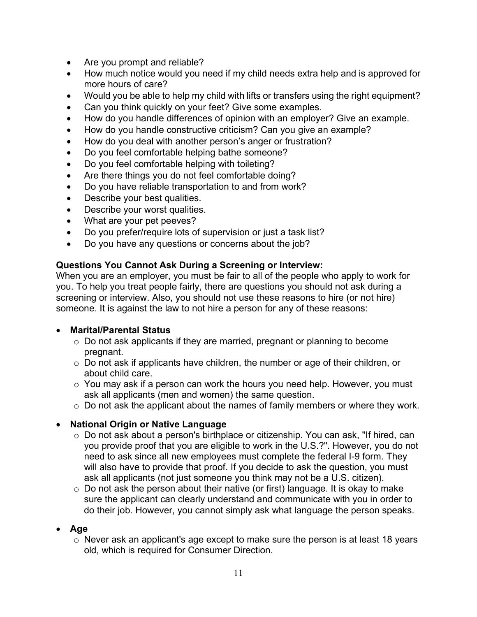- Are you prompt and reliable?
- How much notice would you need if my child needs extra help and is approved for more hours of care?
- Would you be able to help my child with lifts or transfers using the right equipment?
- Can you think quickly on your feet? Give some examples.
- How do you handle differences of opinion with an employer? Give an example.
- How do you handle constructive criticism? Can you give an example?
- How do you deal with another person's anger or frustration?
- Do you feel comfortable helping bathe someone?
- Do you feel comfortable helping with toileting?
- Are there things you do not feel comfortable doing?
- Do you have reliable transportation to and from work?
- Describe your best qualities.
- Describe your worst qualities.
- What are your pet peeves?
- Do you prefer/require lots of supervision or just a task list?
- Do you have any questions or concerns about the job?

#### **Questions You Cannot Ask During a Screening or Interview:**

When you are an employer, you must be fair to all of the people who apply to work for you. To help you treat people fairly, there are questions you should not ask during a screening or interview. Also, you should not use these reasons to hire (or not hire) someone. It is against the law to not hire a person for any of these reasons:

#### • **Marital/Parental Status**

- o Do not ask applicants if they are married, pregnant or planning to become pregnant.
- o Do not ask if applicants have children, the number or age of their children, or about child care.
- $\circ$  You may ask if a person can work the hours you need help. However, you must ask all applicants (men and women) the same question.
- o Do not ask the applicant about the names of family members or where they work.

# • **National Origin or Native Language**

- o Do not ask about a person's birthplace or citizenship. You can ask, "If hired, can you provide proof that you are eligible to work in the U.S.?". However, you do not need to ask since all new employees must complete the federal I-9 form. They will also have to provide that proof. If you decide to ask the question, you must ask all applicants (not just someone you think may not be a U.S. citizen).
- $\circ$  Do not ask the person about their native (or first) language. It is okay to make sure the applicant can clearly understand and communicate with you in order to do their job. However, you cannot simply ask what language the person speaks.

#### • **Age**

o Never ask an applicant's age except to make sure the person is at least 18 years old, which is required for Consumer Direction.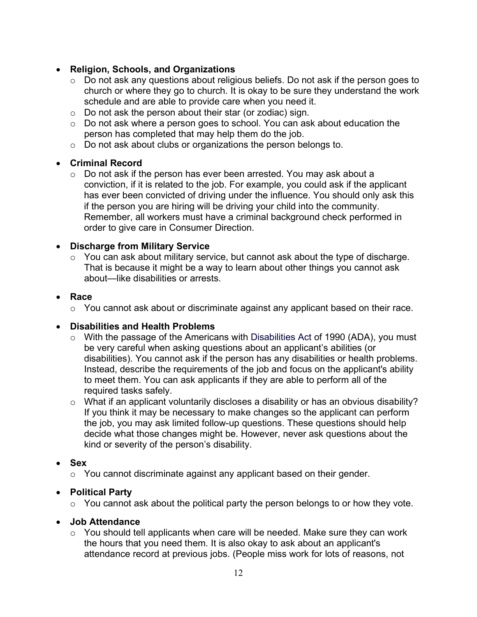# • **Religion, Schools, and Organizations**

- o Do not ask any questions about religious beliefs. Do not ask if the person goes to church or where they go to church. It is okay to be sure they understand the work schedule and are able to provide care when you need it.
- o Do not ask the person about their star (or zodiac) sign.
- o Do not ask where a person goes to school. You can ask about education the person has completed that may help them do the job.
- o Do not ask about clubs or organizations the person belongs to.

# • **Criminal Record**

 $\circ$  Do not ask if the person has ever been arrested. You may ask about a conviction, if it is related to the job. For example, you could ask if the applicant has ever been convicted of driving under the influence. You should only ask this if the person you are hiring will be driving your child into the community. Remember, all workers must have a criminal background check performed in order to give care in Consumer Direction.

# • **Discharge from Military Service**

o You can ask about military service, but cannot ask about the type of discharge. That is because it might be a way to learn about other things you cannot ask about—like disabilities or arrests.

#### • **Race**

o You cannot ask about or discriminate against any applicant based on their race.

# • **Disabilities and Health Problems**

- o With the passage of the Americans with Disabilities Act of 1990 (ADA), you must be very careful when asking questions about an applicant's abilities (or disabilities). You cannot ask if the person has any disabilities or health problems. Instead, describe the requirements of the job and focus on the applicant's ability to meet them. You can ask applicants if they are able to perform all of the required tasks safely.
- $\circ$  What if an applicant voluntarily discloses a disability or has an obvious disability? If you think it may be necessary to make changes so the applicant can perform the job, you may ask limited follow-up questions. These questions should help decide what those changes might be. However, never ask questions about the kind or severity of the person's disability.

# • **Sex**

o You cannot discriminate against any applicant based on their gender.

# • **Political Party**

o You cannot ask about the political party the person belongs to or how they vote.

#### • **Job Attendance**

 $\circ$  You should tell applicants when care will be needed. Make sure they can work the hours that you need them. It is also okay to ask about an applicant's attendance record at previous jobs. (People miss work for lots of reasons, not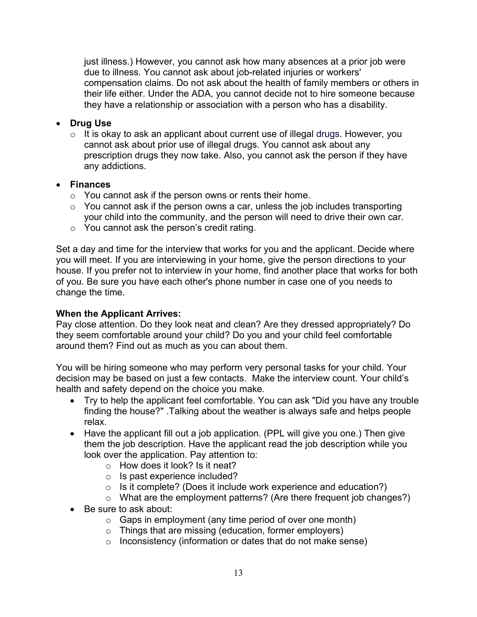just illness.) However, you cannot ask how many absences at a prior job were due to illness. You cannot ask about job-related injuries or workers' compensation claims. Do not ask about the health of family members or others in their life either. Under the ADA, you cannot decide not to hire someone because they have a relationship or association with a person who has a disability.

# • **Drug Use**

 $\circ$  It is okay to ask an applicant about current use of illegal drugs. However, you cannot ask about prior use of illegal drugs. You cannot ask about any prescription drugs they now take. Also, you cannot ask the person if they have any addictions.

#### • **Finances**

- $\circ$  You cannot ask if the person owns or rents their home.
- $\circ$  You cannot ask if the person owns a car, unless the job includes transporting your child into the community, and the person will need to drive their own car.
- o You cannot ask the person's credit rating.

Set a day and time for the interview that works for you and the applicant. Decide where you will meet. If you are interviewing in your home, give the person directions to your house. If you prefer not to interview in your home, find another place that works for both of you. Be sure you have each other's phone number in case one of you needs to change the time.

#### **When the Applicant Arrives:**

Pay close attention. Do they look neat and clean? Are they dressed appropriately? Do they seem comfortable around your child? Do you and your child feel comfortable around them? Find out as much as you can about them.

You will be hiring someone who may perform very personal tasks for your child. Your decision may be based on just a few contacts. Make the interview count. Your child's health and safety depend on the choice you make.

- Try to help the applicant feel comfortable. You can ask "Did you have any trouble finding the house?" .Talking about the weather is always safe and helps people relax.
- Have the applicant fill out a job application. (PPL will give you one.) Then give them the job description. Have the applicant read the job description while you look over the application. Pay attention to:
	- o How does it look? Is it neat?
	- o Is past experience included?
	- $\circ$  Is it complete? (Does it include work experience and education?)
	- o What are the employment patterns? (Are there frequent job changes?)
- Be sure to ask about:
	- $\circ$  Gaps in employment (any time period of over one month)
	- o Things that are missing (education, former employers)
	- o Inconsistency (information or dates that do not make sense)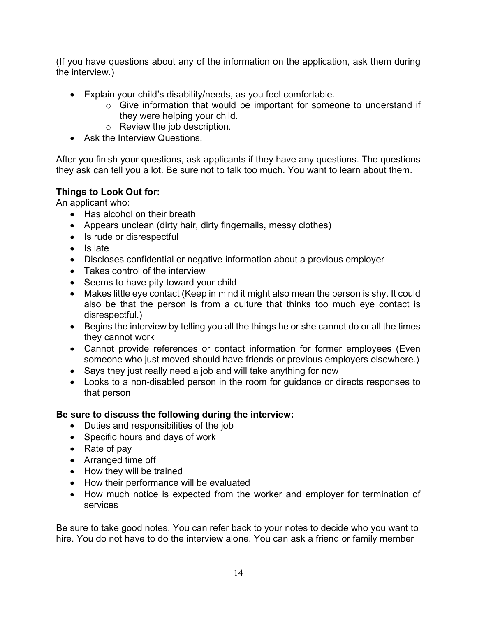(If you have questions about any of the information on the application, ask them during the interview.)

- Explain your child's disability/needs, as you feel comfortable.
	- o Give information that would be important for someone to understand if they were helping your child.
	- o Review the job description.
- Ask the Interview Questions.

After you finish your questions, ask applicants if they have any questions. The questions they ask can tell you a lot. Be sure not to talk too much. You want to learn about them.

# **Things to Look Out for:**

An applicant who:

- Has alcohol on their breath
- Appears unclean (dirty hair, dirty fingernails, messy clothes)
- Is rude or disrespectful
- Is late
- Discloses confidential or negative information about a previous employer
- Takes control of the interview
- Seems to have pity toward your child
- Makes little eye contact (Keep in mind it might also mean the person is shy. It could also be that the person is from a culture that thinks too much eye contact is disrespectful.)
- Begins the interview by telling you all the things he or she cannot do or all the times they cannot work
- Cannot provide references or contact information for former employees (Even someone who just moved should have friends or previous employers elsewhere.)
- Says they just really need a job and will take anything for now
- Looks to a non-disabled person in the room for guidance or directs responses to that person

# **Be sure to discuss the following during the interview:**

- Duties and responsibilities of the job
- Specific hours and days of work
- Rate of pay
- Arranged time off
- How they will be trained
- How their performance will be evaluated
- How much notice is expected from the worker and employer for termination of services

Be sure to take good notes. You can refer back to your notes to decide who you want to hire. You do not have to do the interview alone. You can ask a friend or family member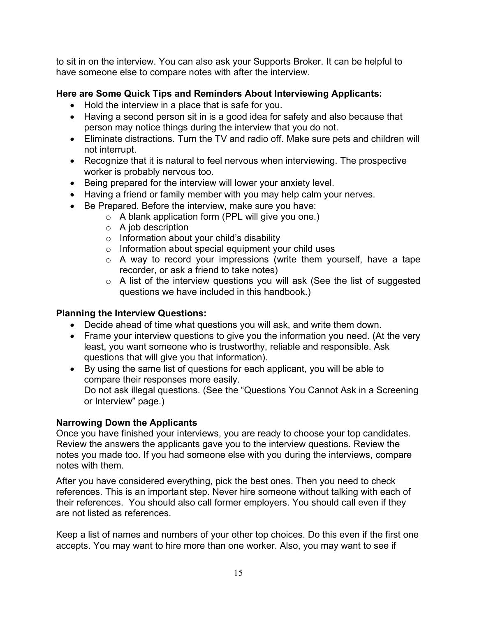to sit in on the interview. You can also ask your Supports Broker. It can be helpful to have someone else to compare notes with after the interview.

# **Here are Some Quick Tips and Reminders About Interviewing Applicants:**

- Hold the interview in a place that is safe for you.
- Having a second person sit in is a good idea for safety and also because that person may notice things during the interview that you do not.
- Eliminate distractions. Turn the TV and radio off. Make sure pets and children will not interrupt.
- Recognize that it is natural to feel nervous when interviewing. The prospective worker is probably nervous too.
- Being prepared for the interview will lower your anxiety level.
- Having a friend or family member with you may help calm your nerves.
- Be Prepared. Before the interview, make sure you have:
	- o A blank application form (PPL will give you one.)
	- $\circ$  A job description
	- o Information about your child's disability
	- o Information about special equipment your child uses
	- o A way to record your impressions (write them yourself, have a tape recorder, or ask a friend to take notes)
	- $\circ$  A list of the interview questions you will ask (See the list of suggested questions we have included in this handbook.)

# **Planning the Interview Questions:**

- Decide ahead of time what questions you will ask, and write them down.
- Frame your interview questions to give you the information you need. (At the very least, you want someone who is trustworthy, reliable and responsible. Ask questions that will give you that information).
- By using the same list of questions for each applicant, you will be able to compare their responses more easily. Do not ask illegal questions. (See the "Questions You Cannot Ask in a Screening or Interview" page.)

#### **Narrowing Down the Applicants**

Once you have finished your interviews, you are ready to choose your top candidates. Review the answers the applicants gave you to the interview questions. Review the notes you made too. If you had someone else with you during the interviews, compare notes with them.

After you have considered everything, pick the best ones. Then you need to check references. This is an important step. Never hire someone without talking with each of their references. You should also call former employers. You should call even if they are not listed as references.

Keep a list of names and numbers of your other top choices. Do this even if the first one accepts. You may want to hire more than one worker. Also, you may want to see if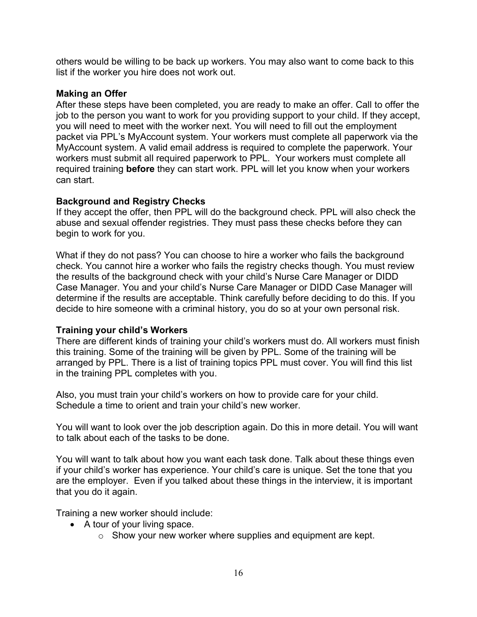others would be willing to be back up workers. You may also want to come back to this list if the worker you hire does not work out.

#### **Making an Offer**

After these steps have been completed, you are ready to make an offer. Call to offer the job to the person you want to work for you providing support to your child. If they accept, you will need to meet with the worker next. You will need to fill out the employment packet via PPL's MyAccount system. Your workers must complete all paperwork via the MyAccount system. A valid email address is required to complete the paperwork. Your workers must submit all required paperwork to PPL. Your workers must complete all required training **before** they can start work. PPL will let you know when your workers can start.

#### **Background and Registry Checks**

If they accept the offer, then PPL will do the background check. PPL will also check the abuse and sexual offender registries. They must pass these checks before they can begin to work for you.

What if they do not pass? You can choose to hire a worker who fails the background check. You cannot hire a worker who fails the registry checks though. You must review the results of the background check with your child's Nurse Care Manager or DIDD Case Manager. You and your child's Nurse Care Manager or DIDD Case Manager will determine if the results are acceptable. Think carefully before deciding to do this. If you decide to hire someone with a criminal history, you do so at your own personal risk.

#### **Training your child's Workers**

There are different kinds of training your child's workers must do. All workers must finish this training. Some of the training will be given by PPL. Some of the training will be arranged by PPL. There is a list of training topics PPL must cover. You will find this list in the training PPL completes with you.

Also, you must train your child's workers on how to provide care for your child. Schedule a time to orient and train your child's new worker.

You will want to look over the job description again. Do this in more detail. You will want to talk about each of the tasks to be done.

You will want to talk about how you want each task done. Talk about these things even if your child's worker has experience. Your child's care is unique. Set the tone that you are the employer. Even if you talked about these things in the interview, it is important that you do it again.

Training a new worker should include:

- A tour of your living space.
	- $\circ$  Show your new worker where supplies and equipment are kept.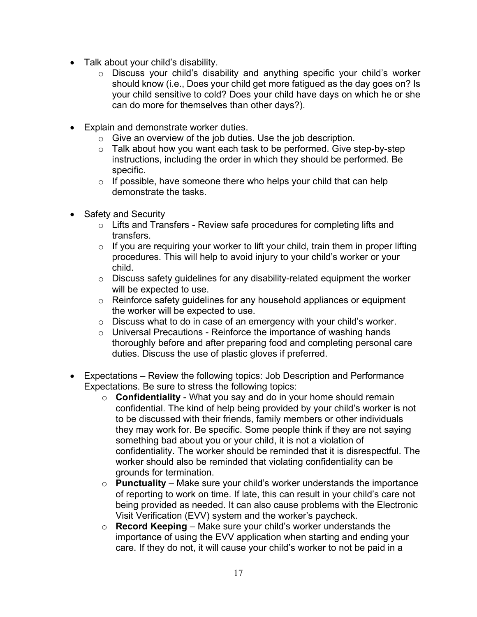- Talk about your child's disability.
	- o Discuss your child's disability and anything specific your child's worker should know (i.e., Does your child get more fatigued as the day goes on? Is your child sensitive to cold? Does your child have days on which he or she can do more for themselves than other days?).
- Explain and demonstrate worker duties.
	- o Give an overview of the job duties. Use the job description.
	- o Talk about how you want each task to be performed. Give step-by-step instructions, including the order in which they should be performed. Be specific.
	- $\circ$  If possible, have someone there who helps your child that can help demonstrate the tasks.
- Safety and Security
	- o Lifts and Transfers Review safe procedures for completing lifts and transfers.
	- $\circ$  If you are requiring your worker to lift your child, train them in proper lifting procedures. This will help to avoid injury to your child's worker or your child.
	- o Discuss safety guidelines for any disability-related equipment the worker will be expected to use.
	- o Reinforce safety guidelines for any household appliances or equipment the worker will be expected to use.
	- o Discuss what to do in case of an emergency with your child's worker.
	- $\circ$  Universal Precautions Reinforce the importance of washing hands thoroughly before and after preparing food and completing personal care duties. Discuss the use of plastic gloves if preferred.
- Expectations Review the following topics: Job Description and Performance Expectations. Be sure to stress the following topics:
	- o **Confidentiality** What you say and do in your home should remain confidential. The kind of help being provided by your child's worker is not to be discussed with their friends, family members or other individuals they may work for. Be specific. Some people think if they are not saying something bad about you or your child, it is not a violation of confidentiality. The worker should be reminded that it is disrespectful. The worker should also be reminded that violating confidentiality can be grounds for termination.
	- o **Punctuality** Make sure your child's worker understands the importance of reporting to work on time. If late, this can result in your child's care not being provided as needed. It can also cause problems with the Electronic Visit Verification (EVV) system and the worker's paycheck.
	- o **Record Keeping** Make sure your child's worker understands the importance of using the EVV application when starting and ending your care. If they do not, it will cause your child's worker to not be paid in a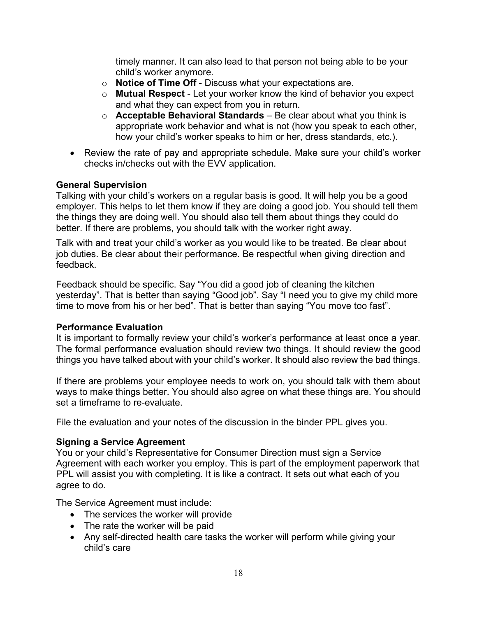timely manner. It can also lead to that person not being able to be your child's worker anymore.

- o **Notice of Time Off** Discuss what your expectations are.
- o **Mutual Respect** Let your worker know the kind of behavior you expect and what they can expect from you in return.
- o **Acceptable Behavioral Standards**  Be clear about what you think is appropriate work behavior and what is not (how you speak to each other, how your child's worker speaks to him or her, dress standards, etc.).
- Review the rate of pay and appropriate schedule. Make sure your child's worker checks in/checks out with the EVV application.

#### **General Supervision**

Talking with your child's workers on a regular basis is good. It will help you be a good employer. This helps to let them know if they are doing a good job. You should tell them the things they are doing well. You should also tell them about things they could do better. If there are problems, you should talk with the worker right away.

Talk with and treat your child's worker as you would like to be treated. Be clear about job duties. Be clear about their performance. Be respectful when giving direction and feedback.

Feedback should be specific. Say "You did a good job of cleaning the kitchen yesterday". That is better than saying "Good job". Say "I need you to give my child more time to move from his or her bed". That is better than saying "You move too fast".

#### **Performance Evaluation**

It is important to formally review your child's worker's performance at least once a year. The formal performance evaluation should review two things. It should review the good things you have talked about with your child's worker. It should also review the bad things.

If there are problems your employee needs to work on, you should talk with them about ways to make things better. You should also agree on what these things are. You should set a timeframe to re-evaluate.

File the evaluation and your notes of the discussion in the binder PPL gives you.

#### **Signing a Service Agreement**

You or your child's Representative for Consumer Direction must sign a Service Agreement with each worker you employ. This is part of the employment paperwork that PPL will assist you with completing. It is like a contract. It sets out what each of you agree to do.

The Service Agreement must include:

- The services the worker will provide
- The rate the worker will be paid
- Any self-directed health care tasks the worker will perform while giving your child's care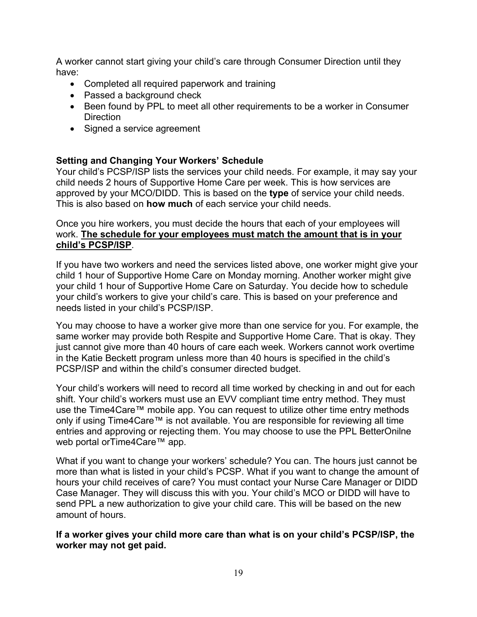A worker cannot start giving your child's care through Consumer Direction until they have:

- Completed all required paperwork and training
- Passed a background check
- Been found by PPL to meet all other requirements to be a worker in Consumer **Direction**
- Signed a service agreement

# **Setting and Changing Your Workers' Schedule**

Your child's PCSP/ISP lists the services your child needs. For example, it may say your child needs 2 hours of Supportive Home Care per week. This is how services are approved by your MCO/DIDD. This is based on the **type** of service your child needs. This is also based on **how much** of each service your child needs.

#### Once you hire workers, you must decide the hours that each of your employees will work. **The schedule for your employees must match the amount that is in your child's PCSP/ISP**.

If you have two workers and need the services listed above, one worker might give your child 1 hour of Supportive Home Care on Monday morning. Another worker might give your child 1 hour of Supportive Home Care on Saturday. You decide how to schedule your child's workers to give your child's care. This is based on your preference and needs listed in your child's PCSP/ISP.

You may choose to have a worker give more than one service for you. For example, the same worker may provide both Respite and Supportive Home Care. That is okay. They just cannot give more than 40 hours of care each week. Workers cannot work overtime in the Katie Beckett program unless more than 40 hours is specified in the child's PCSP/ISP and within the child's consumer directed budget.

Your child's workers will need to record all time worked by checking in and out for each shift. Your child's workers must use an EVV compliant time entry method. They must use the Time4Care™ mobile app. You can request to utilize other time entry methods only if using Time4Care™ is not available. You are responsible for reviewing all time entries and approving or rejecting them. You may choose to use the PPL BetterOnilne web portal orTime4Care™ app.

What if you want to change your workers' schedule? You can. The hours just cannot be more than what is listed in your child's PCSP. What if you want to change the amount of hours your child receives of care? You must contact your Nurse Care Manager or DIDD Case Manager. They will discuss this with you. Your child's MCO or DIDD will have to send PPL a new authorization to give your child care. This will be based on the new amount of hours.

**If a worker gives your child more care than what is on your child's PCSP/ISP, the worker may not get paid.**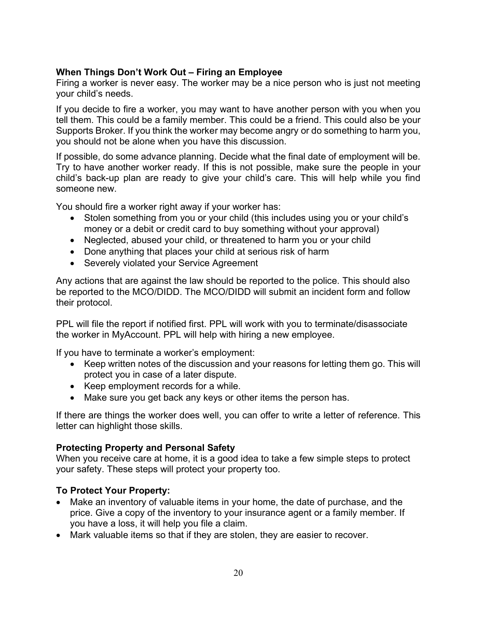# **When Things Don't Work Out – Firing an Employee**

Firing a worker is never easy. The worker may be a nice person who is just not meeting your child's needs.

If you decide to fire a worker, you may want to have another person with you when you tell them. This could be a family member. This could be a friend. This could also be your Supports Broker. If you think the worker may become angry or do something to harm you, you should not be alone when you have this discussion.

If possible, do some advance planning. Decide what the final date of employment will be. Try to have another worker ready. If this is not possible, make sure the people in your child's back-up plan are ready to give your child's care. This will help while you find someone new.

You should fire a worker right away if your worker has:

- Stolen something from you or your child (this includes using you or your child's money or a debit or credit card to buy something without your approval)
- Neglected, abused your child, or threatened to harm you or your child
- Done anything that places your child at serious risk of harm
- Severely violated your Service Agreement

Any actions that are against the law should be reported to the police. This should also be reported to the MCO/DIDD. The MCO/DIDD will submit an incident form and follow their protocol.

PPL will file the report if notified first. PPL will work with you to terminate/disassociate the worker in MyAccount. PPL will help with hiring a new employee.

If you have to terminate a worker's employment:

- Keep written notes of the discussion and your reasons for letting them go. This will protect you in case of a later dispute.
- Keep employment records for a while.
- Make sure you get back any keys or other items the person has.

If there are things the worker does well, you can offer to write a letter of reference. This letter can highlight those skills.

#### **Protecting Property and Personal Safety**

When you receive care at home, it is a good idea to take a few simple steps to protect your safety. These steps will protect your property too.

# **To Protect Your Property:**

- Make an inventory of valuable items in your home, the date of purchase, and the price. Give a copy of the inventory to your insurance agent or a family member. If you have a loss, it will help you file a claim.
- Mark valuable items so that if they are stolen, they are easier to recover.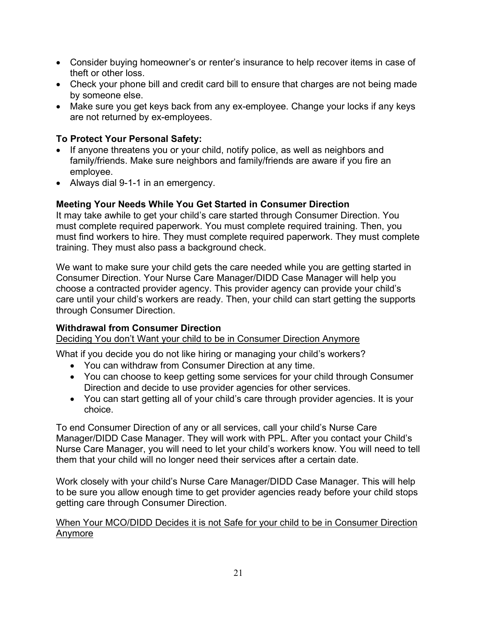- Consider buying homeowner's or renter's insurance to help recover items in case of theft or other loss.
- Check your phone bill and credit card bill to ensure that charges are not being made by someone else.
- Make sure you get keys back from any ex-employee. Change your locks if any keys are not returned by ex-employees.

# **To Protect Your Personal Safety:**

- If anyone threatens you or your child, notify police, as well as neighbors and family/friends. Make sure neighbors and family/friends are aware if you fire an employee.
- Always dial 9-1-1 in an emergency.

# **Meeting Your Needs While You Get Started in Consumer Direction**

It may take awhile to get your child's care started through Consumer Direction. You must complete required paperwork. You must complete required training. Then, you must find workers to hire. They must complete required paperwork. They must complete training. They must also pass a background check.

We want to make sure your child gets the care needed while you are getting started in Consumer Direction. Your Nurse Care Manager/DIDD Case Manager will help you choose a contracted provider agency. This provider agency can provide your child's care until your child's workers are ready. Then, your child can start getting the supports through Consumer Direction.

# **Withdrawal from Consumer Direction**

Deciding You don't Want your child to be in Consumer Direction Anymore

What if you decide you do not like hiring or managing your child's workers?

- You can withdraw from Consumer Direction at any time.
- You can choose to keep getting some services for your child through Consumer Direction and decide to use provider agencies for other services.
- You can start getting all of your child's care through provider agencies. It is your choice.

To end Consumer Direction of any or all services, call your child's Nurse Care Manager/DIDD Case Manager. They will work with PPL. After you contact your Child's Nurse Care Manager, you will need to let your child's workers know. You will need to tell them that your child will no longer need their services after a certain date.

Work closely with your child's Nurse Care Manager/DIDD Case Manager. This will help to be sure you allow enough time to get provider agencies ready before your child stops getting care through Consumer Direction.

#### When Your MCO/DIDD Decides it is not Safe for your child to be in Consumer Direction Anymore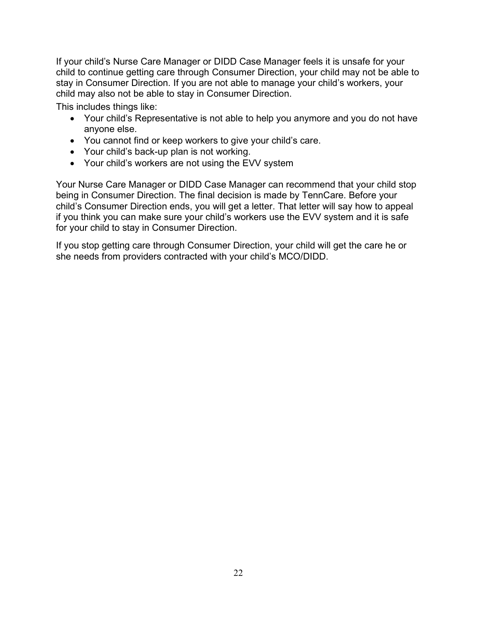If your child's Nurse Care Manager or DIDD Case Manager feels it is unsafe for your child to continue getting care through Consumer Direction, your child may not be able to stay in Consumer Direction. If you are not able to manage your child's workers, your child may also not be able to stay in Consumer Direction.

This includes things like:

- Your child's Representative is not able to help you anymore and you do not have anyone else.
- You cannot find or keep workers to give your child's care.
- Your child's back-up plan is not working.
- Your child's workers are not using the EVV system

Your Nurse Care Manager or DIDD Case Manager can recommend that your child stop being in Consumer Direction. The final decision is made by TennCare. Before your child's Consumer Direction ends, you will get a letter. That letter will say how to appeal if you think you can make sure your child's workers use the EVV system and it is safe for your child to stay in Consumer Direction.

If you stop getting care through Consumer Direction, your child will get the care he or she needs from providers contracted with your child's MCO/DIDD.